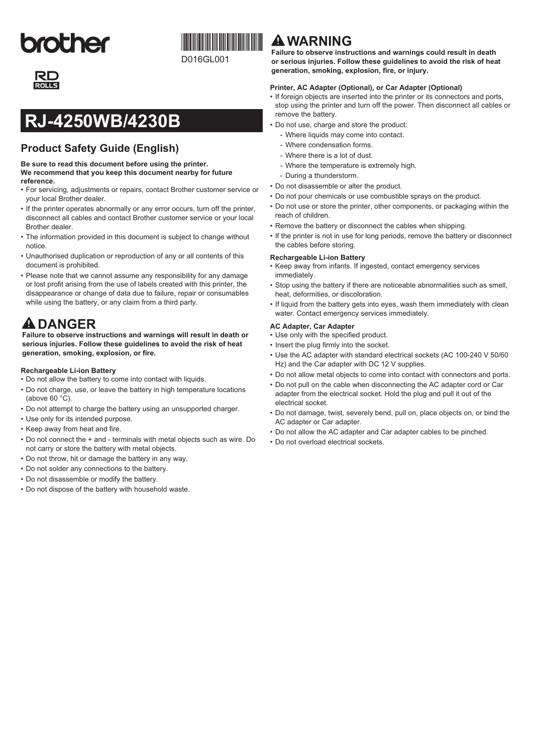# **brother**



## **RJ-4250WB/4230B**

### **Product Safety Guide (English)**

**Be sure to read this document before using the printer. We recommend that you keep this document nearby for future reference.**

- • For servicing, adjustments or repairs, contact Brother customer service or your local Brother dealer.
- If the printer operates abnormally or any error occurs, turn off the printer, disconnect all cables and contact Brother customer service or your local Brother dealer.
- The information provided in this document is subject to change without notice.
- • Unauthorised duplication or reproduction of any or all contents of this document is prohibited.
- Please note that we cannot assume any responsibility for any damage or lost profit arising from the use of labels created with this printer, the disappearance or change of data due to failure, repair or consumables while using the battery, or any claim from a third party.

## **A** DANGER

**Failure to observe instructions and warnings will result in death or serious injuries. Follow these guidelines to avoid the risk of heat generation, smoking, explosion, or fire.**

#### **Rechargeable Li-ion Battery**

- Do not allow the battery to come into contact with liquids.
- Do not charge, use, or leave the battery in high temperature locations (above 60 °C).
- • Do not attempt to charge the battery using an unsupported charger.
- Use only for its intended purpose.
- Keep away from heat and fire.
- • Do not connect the + and terminals with metal objects such as wire. Do not carry or store the battery with metal objects.
- • Do not throw, hit or damage the battery in any way.
- • Do not solder any connections to the battery.
- Do not disassemble or modify the battery.
- • Do not dispose of the battery with household waste.

## **WARNING**

**Failure to observe instructions and warnings could result in death or serious injuries. Follow these guidelines to avoid the risk of heat generation, smoking, explosion, fire, or injury.**

#### **Printer, AC Adapter (Optional), or Car Adapter (Optional)**

- If foreign objects are inserted into the printer or its connectors and ports, stop using the printer and turn off the power. Then disconnect all cables or remove the battery.
- • Do not use, charge and store the product:
	- Where liquids may come into contact.
	- Where condensation forms.
	- Where there is a lot of dust.
	- Where the temperature is extremely high.
	- During a thunderstorm.
- • Do not disassemble or alter the product.
- Do not pour chemicals or use combustible sprays on the product.
- • Do not use or store the printer, other components, or packaging within the reach of children.
- Remove the battery or disconnect the cables when shipping.
- If the printer is not in use for long periods, remove the battery or disconnect the cables before storing.

#### **Rechargeable Li-ion Battery**

- • Keep away from infants. If ingested, contact emergency services immediately.
- • Stop using the battery if there are noticeable abnormalities such as smell, heat, deformities, or discoloration.
- If liquid from the battery gets into eyes, wash them immediately with clean water. Contact emergency services immediately.

#### **AC adapter, Car Adapter**

- • Use only with the specified product.
- Insert the plug firmly into the socket.
- Use the AC adapter with standard electrical sockets (AC 100-240 V 50/60 Hz) and the Car adapter with DC 12 V supplies.
- • Do not allow metal objects to come into contact with connectors and ports.
- • Do not pull on the cable when disconnecting the AC adapter cord or Car adapter from the electrical socket. Hold the plug and pull it out of the electrical socket.
- • Do not damage, twist, severely bend, pull on, place objects on, or bind the AC adapter or Car adapter.
- • Do not allow the AC adapter and Car adapter cables to be pinched.
- • Do not overload electrical sockets.